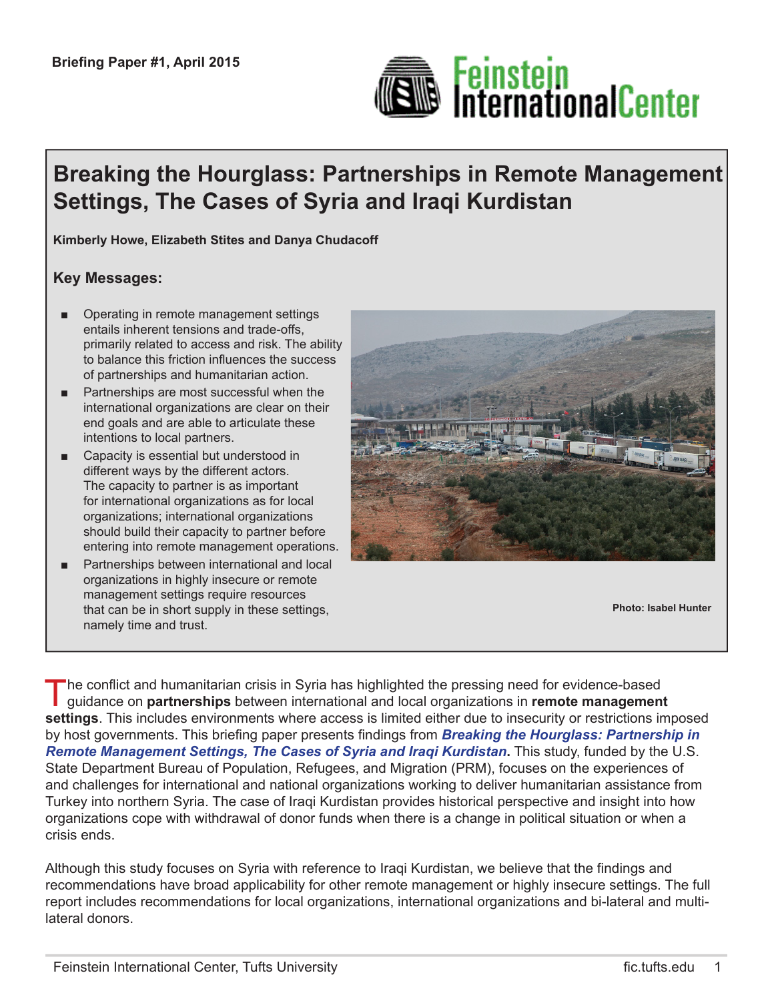

# **Breaking the Hourglass: Partnerships in Remote Management Settings, The Cases of Syria and Iraqi Kurdistan**

**Kimberly Howe, Elizabeth Stites and Danya Chudacoff**

#### **Key Messages:**

- Operating in remote management settings entails inherent tensions and trade-offs, primarily related to access and risk. The ability to balance this friction infuences the success of partnerships and humanitarian action.
- Partnerships are most successful when the international organizations are clear on their end goals and are able to articulate these intentions to local partners.
- Capacity is essential but understood in different ways by the different actors. The capacity to partner is as important for international organizations as for local organizations; international organizations should build their capacity to partner before entering into remote management operations.
- Partnerships between international and local organizations in highly insecure or remote management settings require resources that can be in short supply in these settings, namely time and trust.



**Photo: Isabel Hunter**

The confict and humanitarian crisis in Syria has highlighted the pressing need for evidence-based guidance on **partnerships** between international and local organizations in **remote management settings**. This includes environments where access is limited either due to insecurity or restrictions imposed by host governments. This briefng paper presents fndings from *Breaking the Hourglass: Partnership in Remote Management Settings, The Cases of Syria and Iraqi Kurdistan***.** This study, funded by the U.S. State Department Bureau of Population, Refugees, and Migration (PRM), focuses on the experiences of and challenges for international and national organizations working to deliver humanitarian assistance from Turkey into northern Syria. The case of Iraqi Kurdistan provides historical perspective and insight into how organizations cope with withdrawal of donor funds when there is a change in political situation or when a crisis ends.

Although this study focuses on Syria with reference to Iraqi Kurdistan, we believe that the fndings and recommendations have broad applicability for other remote management or highly insecure settings. The full report includes recommendations for local organizations, international organizations and bi-lateral and multilateral donors.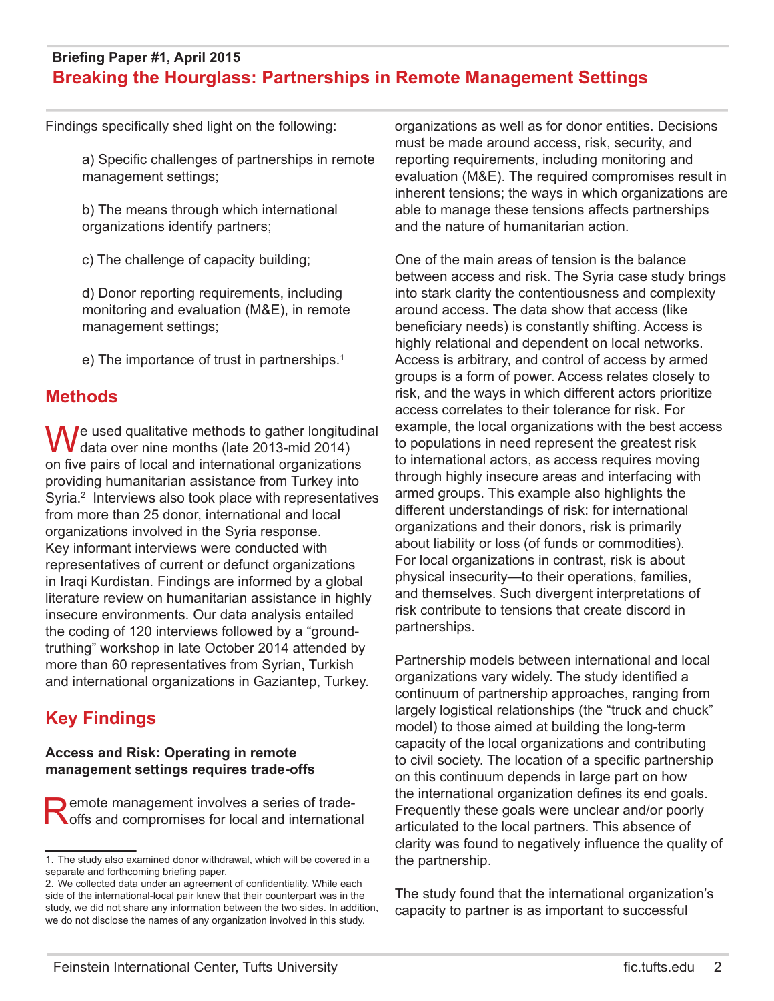Findings specifically shed light on the following:

a) Specific challenges of partnerships in remote management settings;

b) The means through which international organizations identify partners;

c) The challenge of capacity building;

d) Donor reporting requirements, including monitoring and evaluation (M&E), in remote management settings;

e) The importance of trust in partnerships.<sup>1</sup>

## **Methods**

We used qualitative methods to gather longitudinal data over nine months (late 2013-mid 2014) on five pairs of local and international organizations providing humanitarian assistance from Turkey into Syria.<sup>2</sup> Interviews also took place with representatives from more than 25 donor, international and local organizations involved in the Syria response. Key informant interviews were conducted with representatives of current or defunct organizations in Iraqi Kurdistan. Findings are informed by a global literature review on humanitarian assistance in highly insecure environments. Our data analysis entailed the coding of 120 interviews followed by a "groundtruthing" workshop in late October 2014 attended by more than 60 representatives from Syrian, Turkish and international organizations in Gaziantep, Turkey.

# **Key Findings**

#### **Access and Risk: Operating in remote management settings requires trade-offs**

**Remote management involves a series of trade-**<br> **O** for sand compromises for local and international

organizations as well as for donor entities. Decisions must be made around access, risk, security, and reporting requirements, including monitoring and evaluation (M&E). The required compromises result in inherent tensions; the ways in which organizations are able to manage these tensions affects partnerships and the nature of humanitarian action.

One of the main areas of tension is the balance between access and risk. The Syria case study brings into stark clarity the contentiousness and complexity around access. The data show that access (like beneficiary needs) is constantly shifting. Access is highly relational and dependent on local networks. Access is arbitrary, and control of access by armed groups is a form of power. Access relates closely to risk, and the ways in which different actors prioritize access correlates to their tolerance for risk. For example, the local organizations with the best access to populations in need represent the greatest risk to international actors, as access requires moving through highly insecure areas and interfacing with armed groups. This example also highlights the different understandings of risk: for international organizations and their donors, risk is primarily about liability or loss (of funds or commodities). For local organizations in contrast, risk is about physical insecurity—to their operations, families, and themselves. Such divergent interpretations of risk contribute to tensions that create discord in partnerships.

Partnership models between international and local organizations vary widely. The study identifed a continuum of partnership approaches, ranging from largely logistical relationships (the "truck and chuck" model) to those aimed at building the long-term capacity of the local organizations and contributing to civil society. The location of a specifc partnership on this continuum depends in large part on how the international organization defnes its end goals. Frequently these goals were unclear and/or poorly articulated to the local partners. This absence of clarity was found to negatively infuence the quality of the partnership.

The study found that the international organization's capacity to partner is as important to successful

<sup>1.</sup> The study also examined donor withdrawal, which will be covered in a separate and forthcoming briefing paper.

<sup>2.</sup> We collected data under an agreement of confdentiality. While each side of the international-local pair knew that their counterpart was in the study, we did not share any information between the two sides. In addition, we do not disclose the names of any organization involved in this study.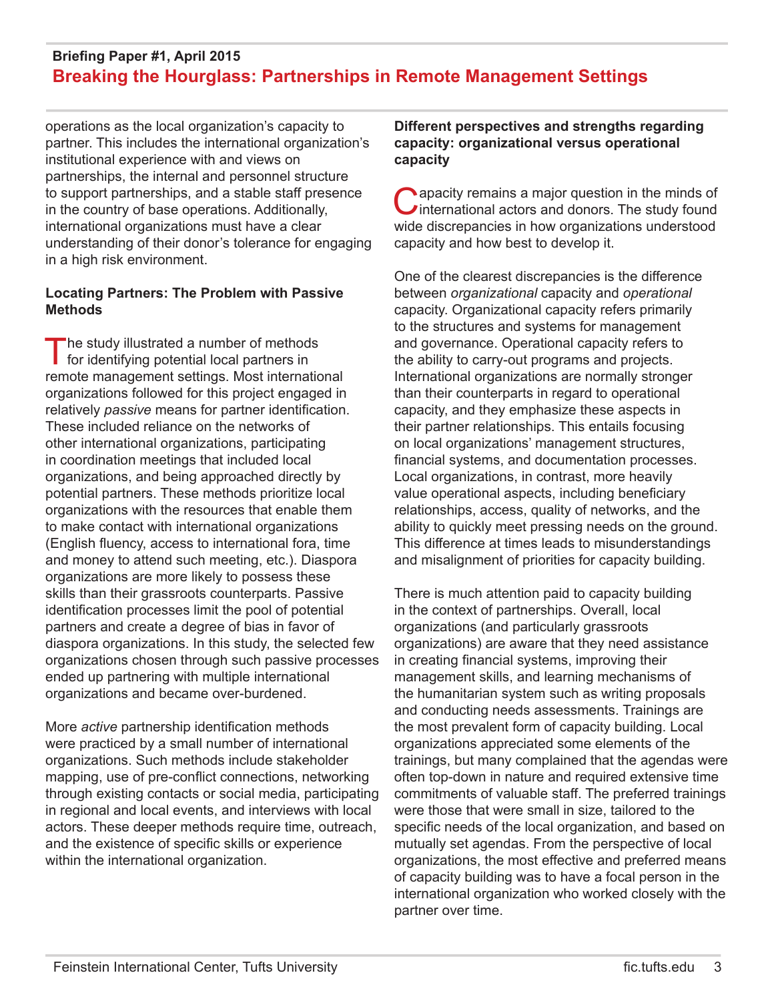operations as the local organization's capacity to partner. This includes the international organization's institutional experience with and views on partnerships, the internal and personnel structure to support partnerships, and a stable staff presence in the country of base operations. Additionally, international organizations must have a clear understanding of their donor's tolerance for engaging in a high risk environment.

#### **Locating Partners: The Problem with Passive Methods**

The study illustrated a number of methods<br>for identifying potential local partners in remote management settings. Most international organizations followed for this project engaged in relatively *passive* means for partner identification. These included reliance on the networks of other international organizations, participating in coordination meetings that included local organizations, and being approached directly by potential partners. These methods prioritize local organizations with the resources that enable them to make contact with international organizations (English fuency, access to international fora, time and money to attend such meeting, etc.). Diaspora organizations are more likely to possess these skills than their grassroots counterparts. Passive identifcation processes limit the pool of potential partners and create a degree of bias in favor of diaspora organizations. In this study, the selected few organizations chosen through such passive processes ended up partnering with multiple international organizations and became over-burdened.

More *active* partnership identifcation methods were practiced by a small number of international organizations. Such methods include stakeholder mapping, use of pre-confict connections, networking through existing contacts or social media, participating in regional and local events, and interviews with local actors. These deeper methods require time, outreach, and the existence of specifc skills or experience within the international organization.

#### **Different perspectives and strengths regarding capacity: organizational versus operational capacity**

Capacity remains a major question in the minds of international actors and donors. The study found wide discrepancies in how organizations understood capacity and how best to develop it.

One of the clearest discrepancies is the difference between *organizational* capacity and *operational* capacity. Organizational capacity refers primarily to the structures and systems for management and governance. Operational capacity refers to the ability to carry-out programs and projects. International organizations are normally stronger than their counterparts in regard to operational capacity, and they emphasize these aspects in their partner relationships. This entails focusing on local organizations' management structures, fnancial systems, and documentation processes. Local organizations, in contrast, more heavily value operational aspects, including beneficiary relationships, access, quality of networks, and the ability to quickly meet pressing needs on the ground. This difference at times leads to misunderstandings and misalignment of priorities for capacity building.

There is much attention paid to capacity building in the context of partnerships. Overall, local organizations (and particularly grassroots organizations) are aware that they need assistance in creating fnancial systems, improving their management skills, and learning mechanisms of the humanitarian system such as writing proposals and conducting needs assessments. Trainings are the most prevalent form of capacity building. Local organizations appreciated some elements of the trainings, but many complained that the agendas were often top-down in nature and required extensive time commitments of valuable staff. The preferred trainings were those that were small in size, tailored to the specific needs of the local organization, and based on mutually set agendas. From the perspective of local organizations, the most effective and preferred means of capacity building was to have a focal person in the international organization who worked closely with the partner over time.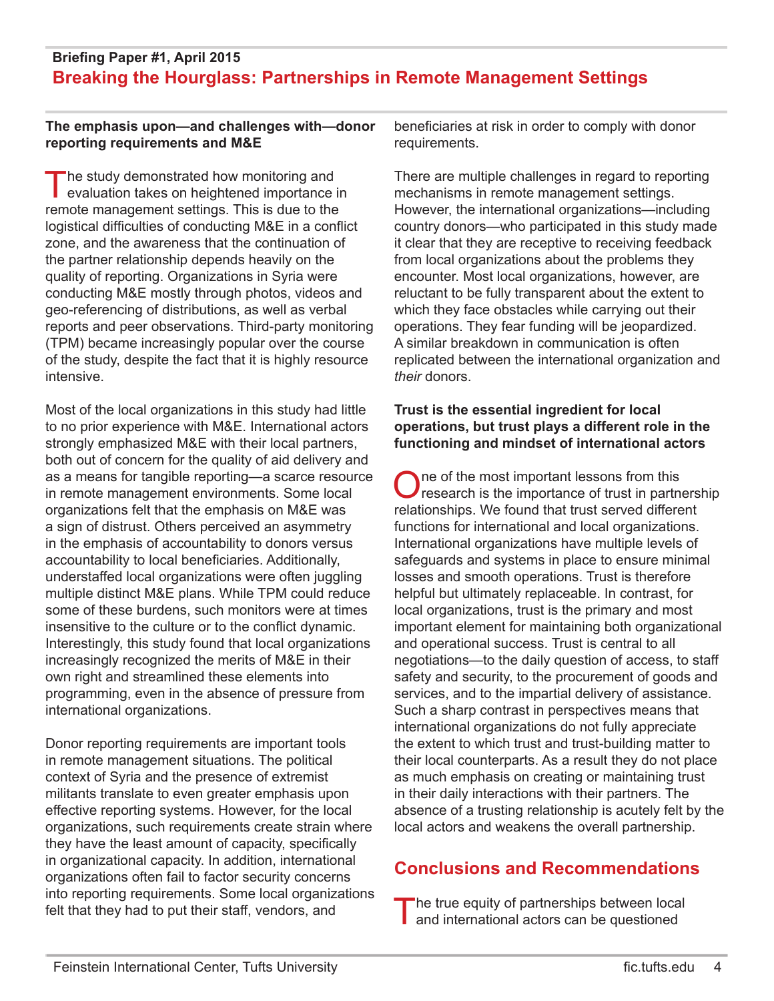#### **The emphasis upon—and challenges with—donor reporting requirements and M&E**

The study demonstrated how monitoring and<br>
evaluation takes on heightened importance in remote management settings. This is due to the logistical difficulties of conducting M&E in a conflict zone, and the awareness that the continuation of the partner relationship depends heavily on the quality of reporting. Organizations in Syria were conducting M&E mostly through photos, videos and geo-referencing of distributions, as well as verbal reports and peer observations. Third-party monitoring (TPM) became increasingly popular over the course of the study, despite the fact that it is highly resource intensive.

Most of the local organizations in this study had little to no prior experience with M&E. International actors strongly emphasized M&E with their local partners, both out of concern for the quality of aid delivery and as a means for tangible reporting—a scarce resource in remote management environments. Some local organizations felt that the emphasis on M&E was a sign of distrust. Others perceived an asymmetry in the emphasis of accountability to donors versus accountability to local beneficiaries. Additionally, understaffed local organizations were often juggling multiple distinct M&E plans. While TPM could reduce some of these burdens, such monitors were at times insensitive to the culture or to the confict dynamic. Interestingly, this study found that local organizations increasingly recognized the merits of M&E in their own right and streamlined these elements into programming, even in the absence of pressure from international organizations.

Donor reporting requirements are important tools in remote management situations. The political context of Syria and the presence of extremist militants translate to even greater emphasis upon effective reporting systems. However, for the local organizations, such requirements create strain where they have the least amount of capacity, specifically in organizational capacity. In addition, international organizations often fail to factor security concerns into reporting requirements. Some local organizations felt that they had to put their staff, vendors, and

beneficiaries at risk in order to comply with donor requirements.

There are multiple challenges in regard to reporting mechanisms in remote management settings. However, the international organizations—including country donors—who participated in this study made it clear that they are receptive to receiving feedback from local organizations about the problems they encounter. Most local organizations, however, are reluctant to be fully transparent about the extent to which they face obstacles while carrying out their operations. They fear funding will be jeopardized. A similar breakdown in communication is often replicated between the international organization and *their* donors.

#### **Trust is the essential ingredient for local operations, but trust plays a different role in the functioning and mindset of international actors**

One of the most important lessons from this<br>
Oresearch is the importance of trust in partnership relationships. We found that trust served different functions for international and local organizations. International organizations have multiple levels of safeguards and systems in place to ensure minimal losses and smooth operations. Trust is therefore helpful but ultimately replaceable. In contrast, for local organizations, trust is the primary and most important element for maintaining both organizational and operational success. Trust is central to all negotiations—to the daily question of access, to staff safety and security, to the procurement of goods and services, and to the impartial delivery of assistance. Such a sharp contrast in perspectives means that international organizations do not fully appreciate the extent to which trust and trust-building matter to their local counterparts. As a result they do not place as much emphasis on creating or maintaining trust in their daily interactions with their partners. The absence of a trusting relationship is acutely felt by the local actors and weakens the overall partnership.

## **Conclusions and Recommendations**

The true equity of partnerships between local and international actors can be questioned